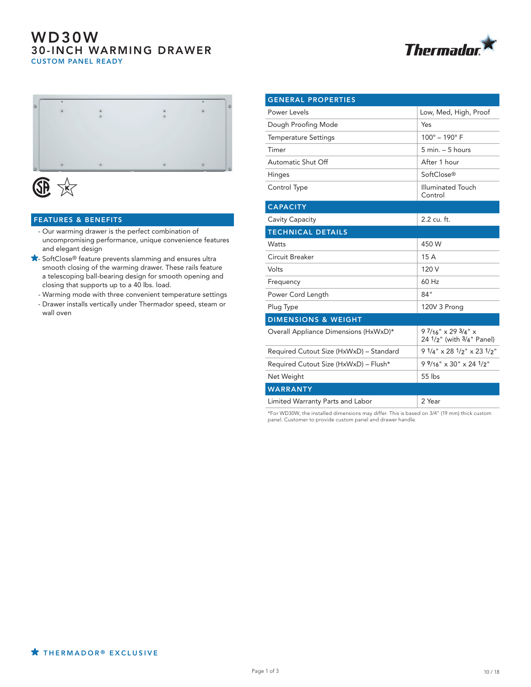## WD30W 30-INCH WARMING DRAWER CUSTOM PANEL READY





# **JE**

#### FEATURES & BENEFITS

- Our warming drawer is the perfect combination of uncompromising performance, unique convenience features and elegant design
- SoftClose® feature prevents slamming and ensures ultra smooth closing of the warming drawer. These rails feature a telescoping ball-bearing design for smooth opening and closing that supports up to a 40 lbs. load.
	- Warming mode with three convenient temperature settings
	- Drawer installs vertically under Thermador speed, steam or wall oven

| <b>GENERAL PROPERTIES</b>               |                                                                     |
|-----------------------------------------|---------------------------------------------------------------------|
| Power Levels                            | Low, Med, High, Proof                                               |
| Dough Proofing Mode                     | Yes                                                                 |
| <b>Temperature Settings</b>             | $100^{\circ} - 190^{\circ}$ F                                       |
| Timer                                   | $5$ min. $-5$ hours                                                 |
| Automatic Shut Off                      | After 1 hour                                                        |
| Hinges                                  | SoftClose®                                                          |
| Control Type                            | <b>Illuminated Touch</b><br>Control                                 |
| <b>CAPACITY</b>                         |                                                                     |
| Cavity Capacity                         | 2.2 cu. ft.                                                         |
| <b>TECHNICAL DETAILS</b>                |                                                                     |
| Watts                                   | 450 W                                                               |
| Circuit Breaker                         | 15 A                                                                |
| Volts                                   | 120 V                                                               |
| Frequency                               | 60 Hz                                                               |
| Power Cord Length                       | 84"                                                                 |
| Plug Type                               | 120V 3 Prong                                                        |
| <b>DIMENSIONS &amp; WEIGHT</b>          |                                                                     |
| Overall Appliance Dimensions (HxWxD)*   | $97/16$ " $\times$ 29 $3/4$ " $\times$<br>24 1/2" (with 3/4" Panel) |
| Required Cutout Size (HxWxD) - Standard | $91/4$ " x 28 $1/2$ " x 23 $1/2$ "                                  |
| Required Cutout Size (HxWxD) - Flush*   | $9\frac{9}{16}$ × 30" x 24 $\frac{1}{2}$ "                          |
| Net Weight                              | 55 lbs                                                              |
| <b>WARRANTY</b>                         |                                                                     |
| Limited Warranty Parts and Labor        | 2 Year                                                              |
|                                         |                                                                     |

\*For WD30W, the installed dimensions may differ. This is based on 3/4" (19 mm) thick custom panel. Customer to provide custom panel and drawer handle.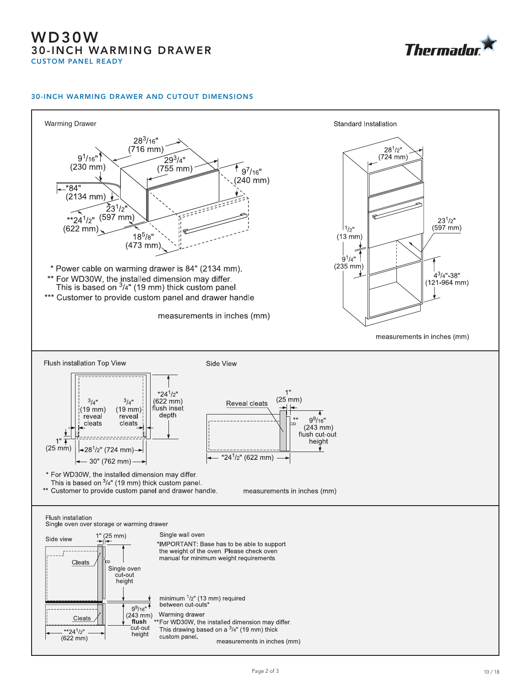## WD30W 30-INCH WARMING DRAWER CUSTOM PANEL READY



#### 30-INCH WARMING DRAWER AND CUTOUT DIMENSIONS